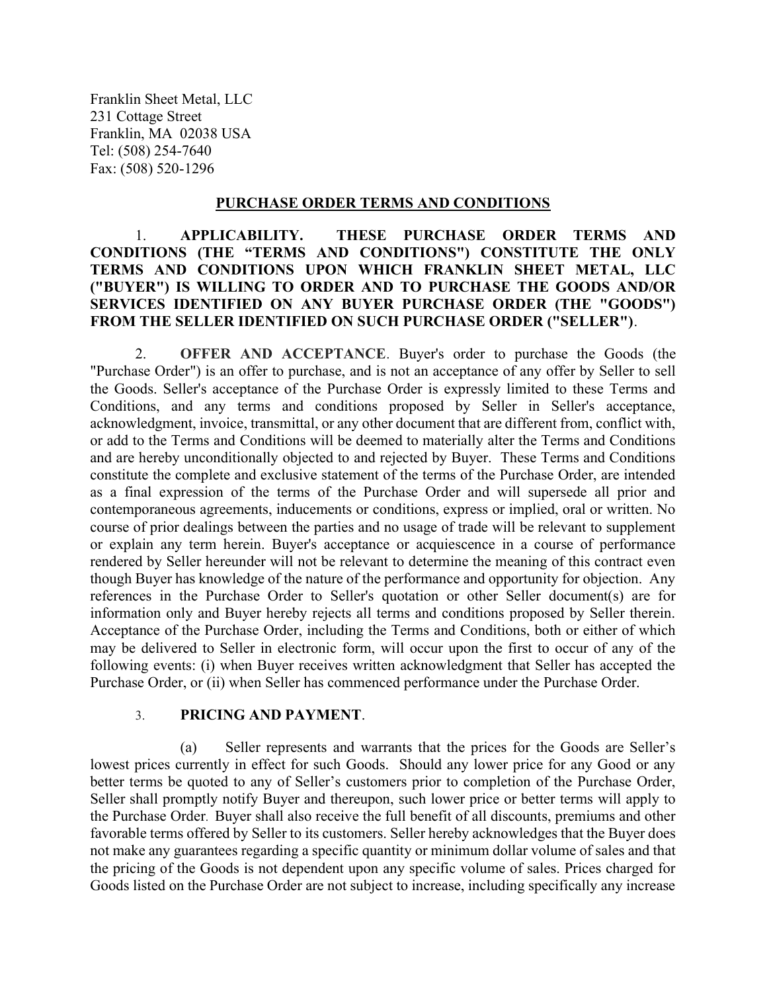Franklin Sheet Metal, LLC 231 Cottage Street Franklin, MA 02038 USA Tel: (508) 254-7640 Fax: (508) 520-1296

#### PURCHASE ORDER TERMS AND CONDITIONS

### 1. APPLICABILITY. THESE PURCHASE ORDER TERMS AND CONDITIONS (THE "TERMS AND CONDITIONS") CONSTITUTE THE ONLY TERMS AND CONDITIONS UPON WHICH FRANKLIN SHEET METAL, LLC ("BUYER") IS WILLING TO ORDER AND TO PURCHASE THE GOODS AND/OR SERVICES IDENTIFIED ON ANY BUYER PURCHASE ORDER (THE "GOODS") FROM THE SELLER IDENTIFIED ON SUCH PURCHASE ORDER ("SELLER").

2. OFFER AND ACCEPTANCE. Buyer's order to purchase the Goods (the "Purchase Order") is an offer to purchase, and is not an acceptance of any offer by Seller to sell the Goods. Seller's acceptance of the Purchase Order is expressly limited to these Terms and Conditions, and any terms and conditions proposed by Seller in Seller's acceptance, acknowledgment, invoice, transmittal, or any other document that are different from, conflict with, or add to the Terms and Conditions will be deemed to materially alter the Terms and Conditions and are hereby unconditionally objected to and rejected by Buyer. These Terms and Conditions constitute the complete and exclusive statement of the terms of the Purchase Order, are intended as a final expression of the terms of the Purchase Order and will supersede all prior and contemporaneous agreements, inducements or conditions, express or implied, oral or written. No course of prior dealings between the parties and no usage of trade will be relevant to supplement or explain any term herein. Buyer's acceptance or acquiescence in a course of performance rendered by Seller hereunder will not be relevant to determine the meaning of this contract even though Buyer has knowledge of the nature of the performance and opportunity for objection. Any references in the Purchase Order to Seller's quotation or other Seller document(s) are for information only and Buyer hereby rejects all terms and conditions proposed by Seller therein. Acceptance of the Purchase Order, including the Terms and Conditions, both or either of which may be delivered to Seller in electronic form, will occur upon the first to occur of any of the following events: (i) when Buyer receives written acknowledgment that Seller has accepted the Purchase Order, or (ii) when Seller has commenced performance under the Purchase Order.

#### 3. PRICING AND PAYMENT.

(a) Seller represents and warrants that the prices for the Goods are Seller's lowest prices currently in effect for such Goods. Should any lower price for any Good or any better terms be quoted to any of Seller's customers prior to completion of the Purchase Order, Seller shall promptly notify Buyer and thereupon, such lower price or better terms will apply to the Purchase Order. Buyer shall also receive the full benefit of all discounts, premiums and other favorable terms offered by Seller to its customers. Seller hereby acknowledges that the Buyer does not make any guarantees regarding a specific quantity or minimum dollar volume of sales and that the pricing of the Goods is not dependent upon any specific volume of sales. Prices charged for Goods listed on the Purchase Order are not subject to increase, including specifically any increase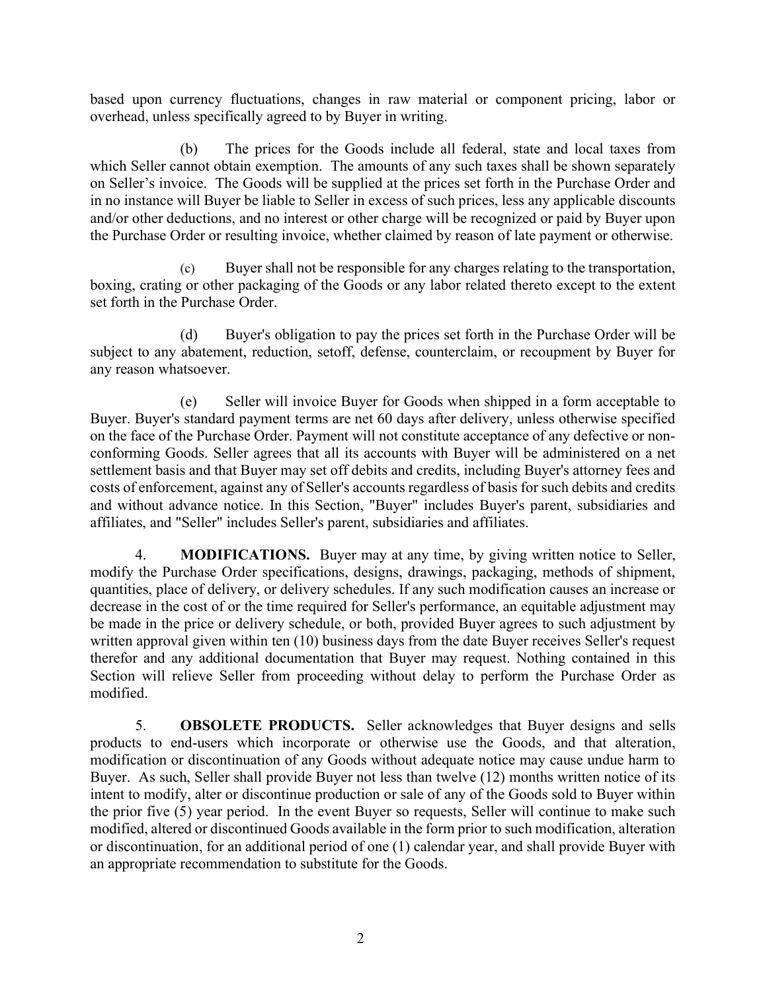based upon currency fluctuations, changes in raw material or component pricing, labor or overhead, unless specifically agreed to by Buyer in writing.

(b) The prices for the Goods include all federal, state and local taxes from which Seller cannot obtain exemption. The amounts of any such taxes shall be shown separately on Seller's invoice. The Goods will be supplied at the prices set forth in the Purchase Order and in no instance will Buyer be liable to Seller in excess of such prices, less any applicable discounts and/or other deductions, and no interest or other charge will be recognized or paid by Buyer upon the Purchase Order or resulting invoice, whether claimed by reason of late payment or otherwise.

(c) Buyer shall not be responsible for any charges relating to the transportation, boxing, crating or other packaging of the Goods or any labor related thereto except to the extent set forth in the Purchase Order.

(d) Buyer's obligation to pay the prices set forth in the Purchase Order will be subject to any abatement, reduction, setoff, defense, counterclaim, or recoupment by Buyer for any reason whatsoever.

(e) Seller will invoice Buyer for Goods when shipped in a form acceptable to Buyer. Buyer's standard payment terms are net 60 days after delivery, unless otherwise specified on the face of the Purchase Order. Payment will not constitute acceptance of any defective or nonconforming Goods. Seller agrees that all its accounts with Buyer will be administered on a net settlement basis and that Buyer may set off debits and credits, including Buyer's attorney fees and costs of enforcement, against any of Seller's accounts regardless of basis for such debits and credits and without advance notice. In this Section, "Buyer" includes Buyer's parent, subsidiaries and affiliates, and "Seller" includes Seller's parent, subsidiaries and affiliates.

4. MODIFICATIONS. Buyer may at any time, by giving written notice to Seller, modify the Purchase Order specifications, designs, drawings, packaging, methods of shipment, quantities, place of delivery, or delivery schedules. If any such modification causes an increase or decrease in the cost of or the time required for Seller's performance, an equitable adjustment may be made in the price or delivery schedule, or both, provided Buyer agrees to such adjustment by written approval given within ten (10) business days from the date Buyer receives Seller's request therefor and any additional documentation that Buyer may request. Nothing contained in this Section will relieve Seller from proceeding without delay to perform the Purchase Order as modified.

5. OBSOLETE PRODUCTS. Seller acknowledges that Buyer designs and sells products to end-users which incorporate or otherwise use the Goods, and that alteration, modification or discontinuation of any Goods without adequate notice may cause undue harm to Buyer. As such, Seller shall provide Buyer not less than twelve (12) months written notice of its intent to modify, alter or discontinue production or sale of any of the Goods sold to Buyer within the prior five (5) year period. In the event Buyer so requests, Seller will continue to make such modified, altered or discontinued Goods available in the form prior to such modification, alteration or discontinuation, for an additional period of one (1) calendar year, and shall provide Buyer with an appropriate recommendation to substitute for the Goods.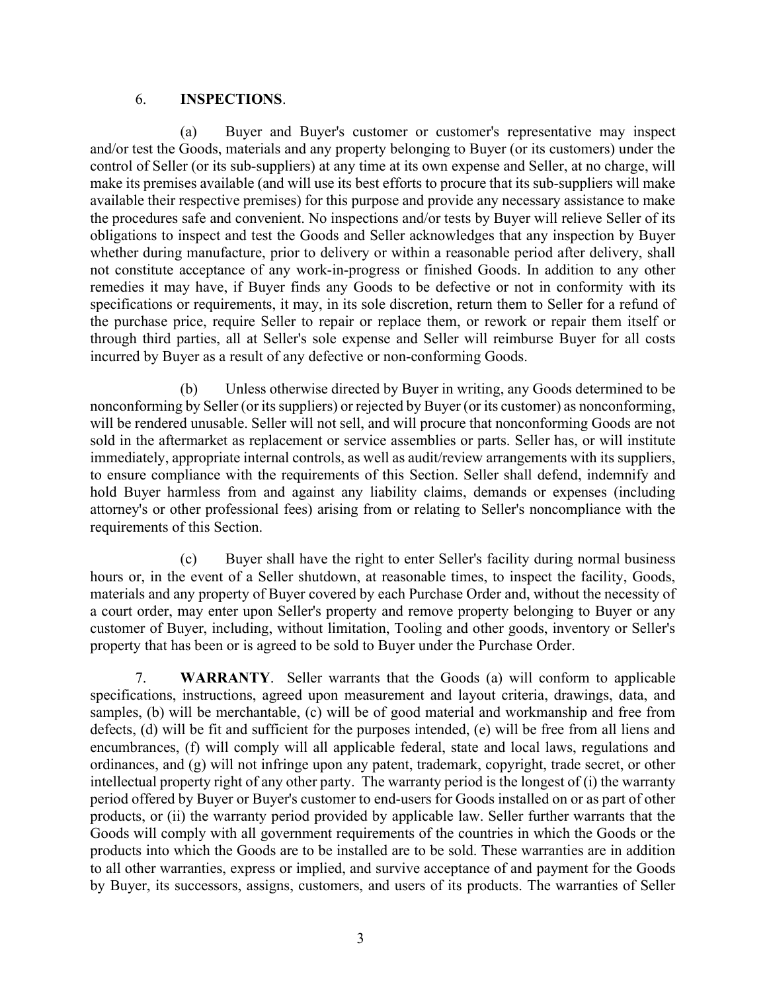### 6. INSPECTIONS.

(a) Buyer and Buyer's customer or customer's representative may inspect and/or test the Goods, materials and any property belonging to Buyer (or its customers) under the control of Seller (or its sub-suppliers) at any time at its own expense and Seller, at no charge, will make its premises available (and will use its best efforts to procure that its sub-suppliers will make available their respective premises) for this purpose and provide any necessary assistance to make the procedures safe and convenient. No inspections and/or tests by Buyer will relieve Seller of its obligations to inspect and test the Goods and Seller acknowledges that any inspection by Buyer whether during manufacture, prior to delivery or within a reasonable period after delivery, shall not constitute acceptance of any work-in-progress or finished Goods. In addition to any other remedies it may have, if Buyer finds any Goods to be defective or not in conformity with its specifications or requirements, it may, in its sole discretion, return them to Seller for a refund of the purchase price, require Seller to repair or replace them, or rework or repair them itself or through third parties, all at Seller's sole expense and Seller will reimburse Buyer for all costs incurred by Buyer as a result of any defective or non-conforming Goods.

(b) Unless otherwise directed by Buyer in writing, any Goods determined to be nonconforming by Seller (or its suppliers) or rejected by Buyer (or its customer) as nonconforming, will be rendered unusable. Seller will not sell, and will procure that nonconforming Goods are not sold in the aftermarket as replacement or service assemblies or parts. Seller has, or will institute immediately, appropriate internal controls, as well as audit/review arrangements with its suppliers, to ensure compliance with the requirements of this Section. Seller shall defend, indemnify and hold Buyer harmless from and against any liability claims, demands or expenses (including attorney's or other professional fees) arising from or relating to Seller's noncompliance with the requirements of this Section.

(c) Buyer shall have the right to enter Seller's facility during normal business hours or, in the event of a Seller shutdown, at reasonable times, to inspect the facility, Goods, materials and any property of Buyer covered by each Purchase Order and, without the necessity of a court order, may enter upon Seller's property and remove property belonging to Buyer or any customer of Buyer, including, without limitation, Tooling and other goods, inventory or Seller's property that has been or is agreed to be sold to Buyer under the Purchase Order.

7. WARRANTY. Seller warrants that the Goods (a) will conform to applicable specifications, instructions, agreed upon measurement and layout criteria, drawings, data, and samples, (b) will be merchantable, (c) will be of good material and workmanship and free from defects, (d) will be fit and sufficient for the purposes intended, (e) will be free from all liens and encumbrances, (f) will comply will all applicable federal, state and local laws, regulations and ordinances, and (g) will not infringe upon any patent, trademark, copyright, trade secret, or other intellectual property right of any other party. The warranty period is the longest of (i) the warranty period offered by Buyer or Buyer's customer to end-users for Goods installed on or as part of other products, or (ii) the warranty period provided by applicable law. Seller further warrants that the Goods will comply with all government requirements of the countries in which the Goods or the products into which the Goods are to be installed are to be sold. These warranties are in addition to all other warranties, express or implied, and survive acceptance of and payment for the Goods by Buyer, its successors, assigns, customers, and users of its products. The warranties of Seller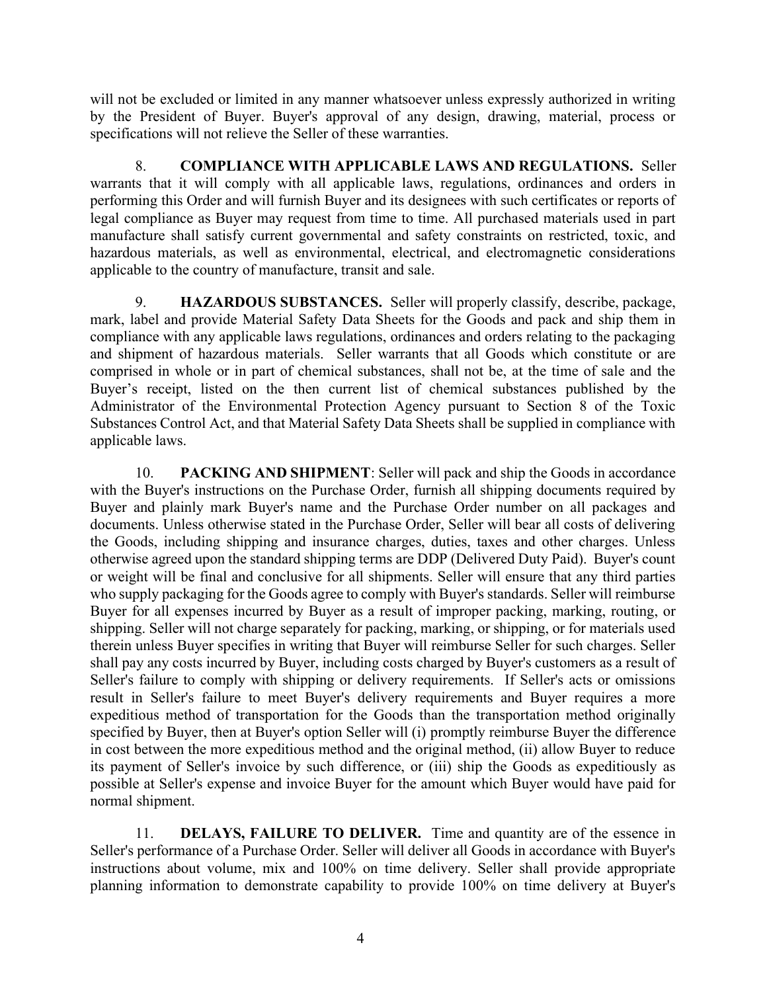will not be excluded or limited in any manner whatsoever unless expressly authorized in writing by the President of Buyer. Buyer's approval of any design, drawing, material, process or specifications will not relieve the Seller of these warranties.

8. COMPLIANCE WITH APPLICABLE LAWS AND REGULATIONS. Seller warrants that it will comply with all applicable laws, regulations, ordinances and orders in performing this Order and will furnish Buyer and its designees with such certificates or reports of legal compliance as Buyer may request from time to time. All purchased materials used in part manufacture shall satisfy current governmental and safety constraints on restricted, toxic, and hazardous materials, as well as environmental, electrical, and electromagnetic considerations applicable to the country of manufacture, transit and sale.

9. HAZARDOUS SUBSTANCES. Seller will properly classify, describe, package, mark, label and provide Material Safety Data Sheets for the Goods and pack and ship them in compliance with any applicable laws regulations, ordinances and orders relating to the packaging and shipment of hazardous materials. Seller warrants that all Goods which constitute or are comprised in whole or in part of chemical substances, shall not be, at the time of sale and the Buyer's receipt, listed on the then current list of chemical substances published by the Administrator of the Environmental Protection Agency pursuant to Section 8 of the Toxic Substances Control Act, and that Material Safety Data Sheets shall be supplied in compliance with applicable laws.

10. PACKING AND SHIPMENT: Seller will pack and ship the Goods in accordance with the Buyer's instructions on the Purchase Order, furnish all shipping documents required by Buyer and plainly mark Buyer's name and the Purchase Order number on all packages and documents. Unless otherwise stated in the Purchase Order, Seller will bear all costs of delivering the Goods, including shipping and insurance charges, duties, taxes and other charges. Unless otherwise agreed upon the standard shipping terms are DDP (Delivered Duty Paid). Buyer's count or weight will be final and conclusive for all shipments. Seller will ensure that any third parties who supply packaging for the Goods agree to comply with Buyer's standards. Seller will reimburse Buyer for all expenses incurred by Buyer as a result of improper packing, marking, routing, or shipping. Seller will not charge separately for packing, marking, or shipping, or for materials used therein unless Buyer specifies in writing that Buyer will reimburse Seller for such charges. Seller shall pay any costs incurred by Buyer, including costs charged by Buyer's customers as a result of Seller's failure to comply with shipping or delivery requirements. If Seller's acts or omissions result in Seller's failure to meet Buyer's delivery requirements and Buyer requires a more expeditious method of transportation for the Goods than the transportation method originally specified by Buyer, then at Buyer's option Seller will (i) promptly reimburse Buyer the difference in cost between the more expeditious method and the original method, (ii) allow Buyer to reduce its payment of Seller's invoice by such difference, or (iii) ship the Goods as expeditiously as possible at Seller's expense and invoice Buyer for the amount which Buyer would have paid for normal shipment.

11. DELAYS, FAILURE TO DELIVER. Time and quantity are of the essence in Seller's performance of a Purchase Order. Seller will deliver all Goods in accordance with Buyer's instructions about volume, mix and 100% on time delivery. Seller shall provide appropriate planning information to demonstrate capability to provide 100% on time delivery at Buyer's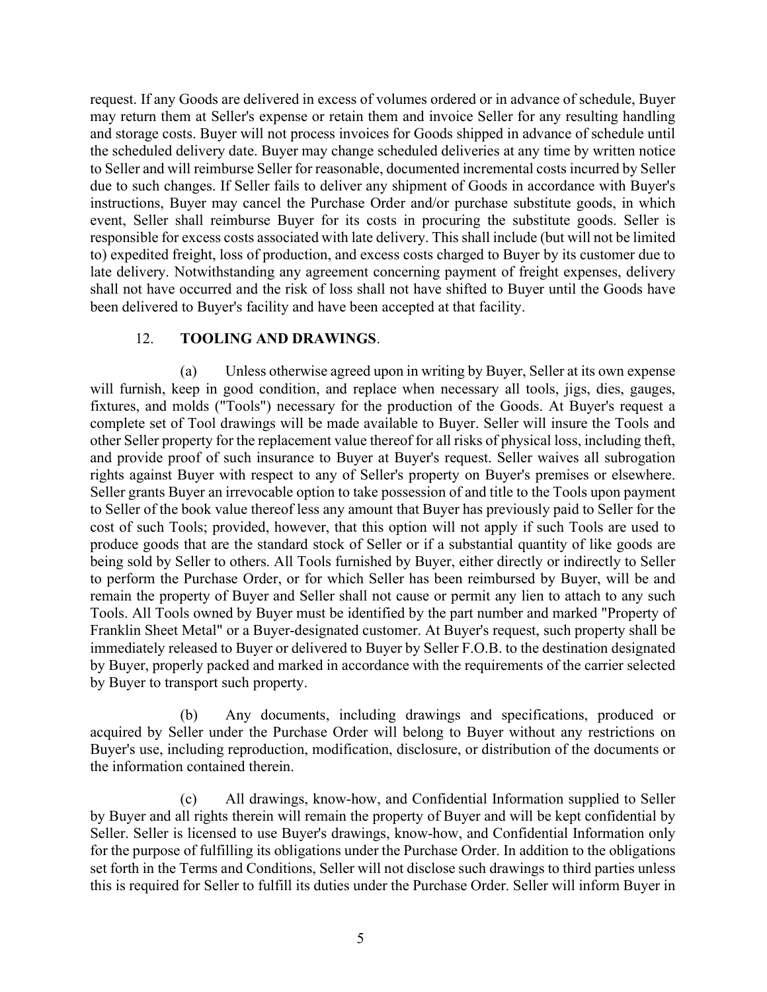request. If any Goods are delivered in excess of volumes ordered or in advance of schedule, Buyer may return them at Seller's expense or retain them and invoice Seller for any resulting handling and storage costs. Buyer will not process invoices for Goods shipped in advance of schedule until the scheduled delivery date. Buyer may change scheduled deliveries at any time by written notice to Seller and will reimburse Seller for reasonable, documented incremental costs incurred by Seller due to such changes. If Seller fails to deliver any shipment of Goods in accordance with Buyer's instructions, Buyer may cancel the Purchase Order and/or purchase substitute goods, in which event, Seller shall reimburse Buyer for its costs in procuring the substitute goods. Seller is responsible for excess costs associated with late delivery. This shall include (but will not be limited to) expedited freight, loss of production, and excess costs charged to Buyer by its customer due to late delivery. Notwithstanding any agreement concerning payment of freight expenses, delivery shall not have occurred and the risk of loss shall not have shifted to Buyer until the Goods have been delivered to Buyer's facility and have been accepted at that facility.

### 12. TOOLING AND DRAWINGS.

(a) Unless otherwise agreed upon in writing by Buyer, Seller at its own expense will furnish, keep in good condition, and replace when necessary all tools, jigs, dies, gauges, fixtures, and molds ("Tools") necessary for the production of the Goods. At Buyer's request a complete set of Tool drawings will be made available to Buyer. Seller will insure the Tools and other Seller property for the replacement value thereof for all risks of physical loss, including theft, and provide proof of such insurance to Buyer at Buyer's request. Seller waives all subrogation rights against Buyer with respect to any of Seller's property on Buyer's premises or elsewhere. Seller grants Buyer an irrevocable option to take possession of and title to the Tools upon payment to Seller of the book value thereof less any amount that Buyer has previously paid to Seller for the cost of such Tools; provided, however, that this option will not apply if such Tools are used to produce goods that are the standard stock of Seller or if a substantial quantity of like goods are being sold by Seller to others. All Tools furnished by Buyer, either directly or indirectly to Seller to perform the Purchase Order, or for which Seller has been reimbursed by Buyer, will be and remain the property of Buyer and Seller shall not cause or permit any lien to attach to any such Tools. All Tools owned by Buyer must be identified by the part number and marked "Property of Franklin Sheet Metal" or a Buyer-designated customer. At Buyer's request, such property shall be immediately released to Buyer or delivered to Buyer by Seller F.O.B. to the destination designated by Buyer, properly packed and marked in accordance with the requirements of the carrier selected by Buyer to transport such property.

(b) Any documents, including drawings and specifications, produced or acquired by Seller under the Purchase Order will belong to Buyer without any restrictions on Buyer's use, including reproduction, modification, disclosure, or distribution of the documents or the information contained therein.

(c) All drawings, know-how, and Confidential Information supplied to Seller by Buyer and all rights therein will remain the property of Buyer and will be kept confidential by Seller. Seller is licensed to use Buyer's drawings, know-how, and Confidential Information only for the purpose of fulfilling its obligations under the Purchase Order. In addition to the obligations set forth in the Terms and Conditions, Seller will not disclose such drawings to third parties unless this is required for Seller to fulfill its duties under the Purchase Order. Seller will inform Buyer in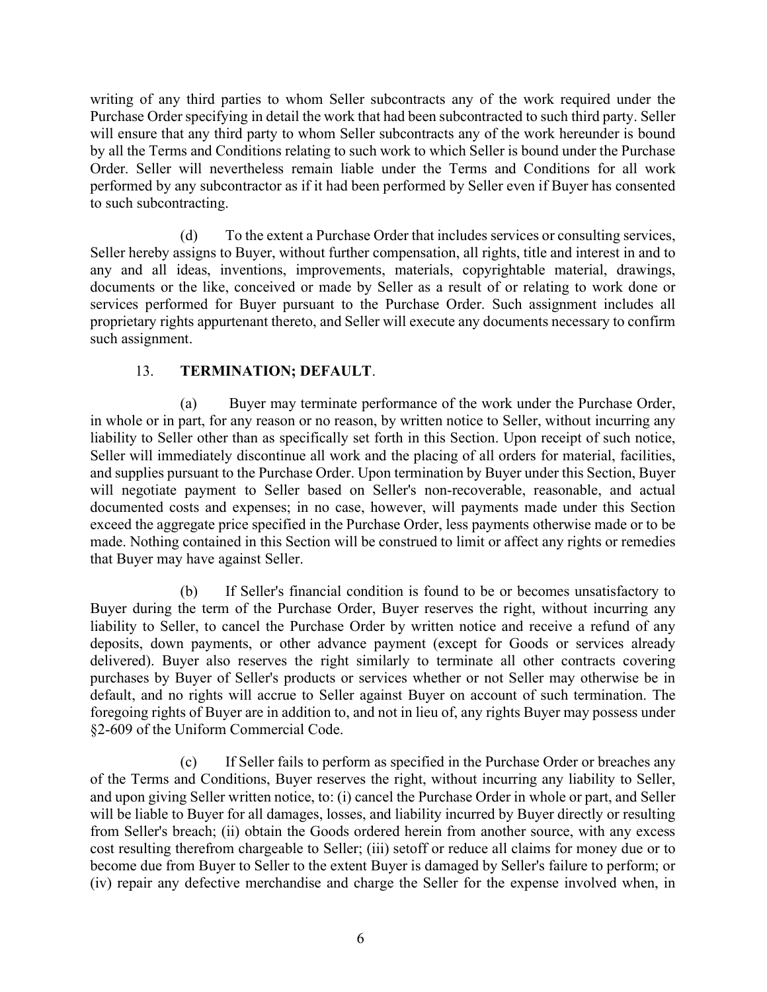writing of any third parties to whom Seller subcontracts any of the work required under the Purchase Order specifying in detail the work that had been subcontracted to such third party. Seller will ensure that any third party to whom Seller subcontracts any of the work hereunder is bound by all the Terms and Conditions relating to such work to which Seller is bound under the Purchase Order. Seller will nevertheless remain liable under the Terms and Conditions for all work performed by any subcontractor as if it had been performed by Seller even if Buyer has consented to such subcontracting.

(d) To the extent a Purchase Order that includes services or consulting services, Seller hereby assigns to Buyer, without further compensation, all rights, title and interest in and to any and all ideas, inventions, improvements, materials, copyrightable material, drawings, documents or the like, conceived or made by Seller as a result of or relating to work done or services performed for Buyer pursuant to the Purchase Order. Such assignment includes all proprietary rights appurtenant thereto, and Seller will execute any documents necessary to confirm such assignment.

# 13. TERMINATION; DEFAULT.

(a) Buyer may terminate performance of the work under the Purchase Order, in whole or in part, for any reason or no reason, by written notice to Seller, without incurring any liability to Seller other than as specifically set forth in this Section. Upon receipt of such notice, Seller will immediately discontinue all work and the placing of all orders for material, facilities, and supplies pursuant to the Purchase Order. Upon termination by Buyer under this Section, Buyer will negotiate payment to Seller based on Seller's non-recoverable, reasonable, and actual documented costs and expenses; in no case, however, will payments made under this Section exceed the aggregate price specified in the Purchase Order, less payments otherwise made or to be made. Nothing contained in this Section will be construed to limit or affect any rights or remedies that Buyer may have against Seller.

(b) If Seller's financial condition is found to be or becomes unsatisfactory to Buyer during the term of the Purchase Order, Buyer reserves the right, without incurring any liability to Seller, to cancel the Purchase Order by written notice and receive a refund of any deposits, down payments, or other advance payment (except for Goods or services already delivered). Buyer also reserves the right similarly to terminate all other contracts covering purchases by Buyer of Seller's products or services whether or not Seller may otherwise be in default, and no rights will accrue to Seller against Buyer on account of such termination. The foregoing rights of Buyer are in addition to, and not in lieu of, any rights Buyer may possess under §2-609 of the Uniform Commercial Code.

(c) If Seller fails to perform as specified in the Purchase Order or breaches any of the Terms and Conditions, Buyer reserves the right, without incurring any liability to Seller, and upon giving Seller written notice, to: (i) cancel the Purchase Order in whole or part, and Seller will be liable to Buyer for all damages, losses, and liability incurred by Buyer directly or resulting from Seller's breach; (ii) obtain the Goods ordered herein from another source, with any excess cost resulting therefrom chargeable to Seller; (iii) setoff or reduce all claims for money due or to become due from Buyer to Seller to the extent Buyer is damaged by Seller's failure to perform; or (iv) repair any defective merchandise and charge the Seller for the expense involved when, in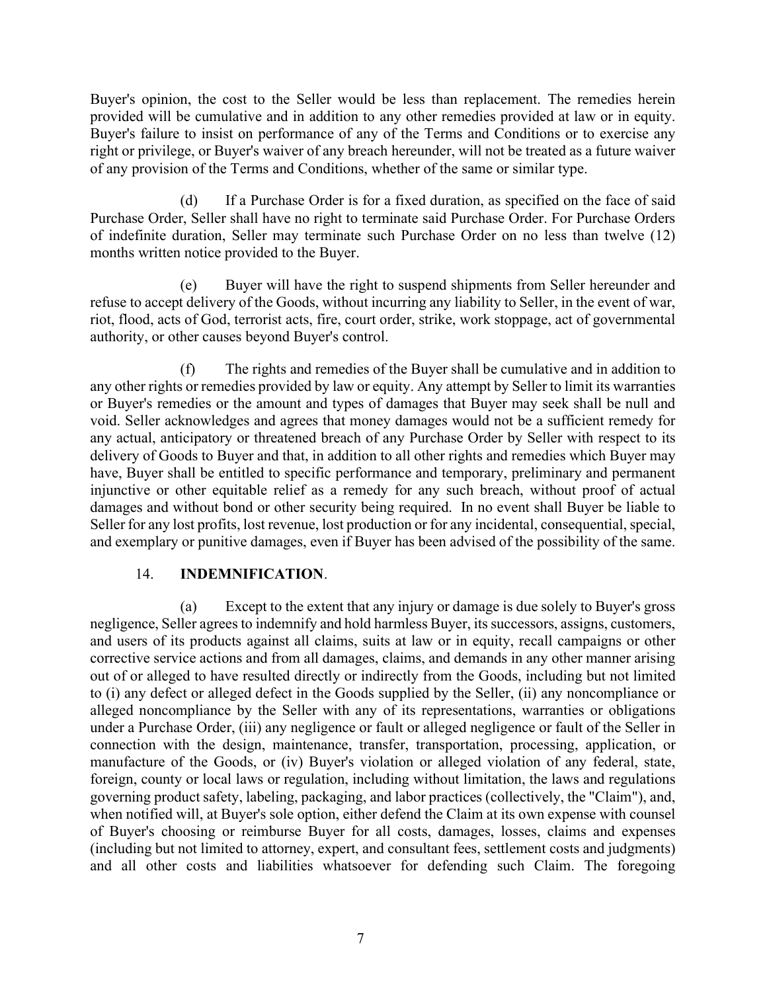Buyer's opinion, the cost to the Seller would be less than replacement. The remedies herein provided will be cumulative and in addition to any other remedies provided at law or in equity. Buyer's failure to insist on performance of any of the Terms and Conditions or to exercise any right or privilege, or Buyer's waiver of any breach hereunder, will not be treated as a future waiver of any provision of the Terms and Conditions, whether of the same or similar type.

(d) If a Purchase Order is for a fixed duration, as specified on the face of said Purchase Order, Seller shall have no right to terminate said Purchase Order. For Purchase Orders of indefinite duration, Seller may terminate such Purchase Order on no less than twelve (12) months written notice provided to the Buyer.

(e) Buyer will have the right to suspend shipments from Seller hereunder and refuse to accept delivery of the Goods, without incurring any liability to Seller, in the event of war, riot, flood, acts of God, terrorist acts, fire, court order, strike, work stoppage, act of governmental authority, or other causes beyond Buyer's control.

(f) The rights and remedies of the Buyer shall be cumulative and in addition to any other rights or remedies provided by law or equity. Any attempt by Seller to limit its warranties or Buyer's remedies or the amount and types of damages that Buyer may seek shall be null and void. Seller acknowledges and agrees that money damages would not be a sufficient remedy for any actual, anticipatory or threatened breach of any Purchase Order by Seller with respect to its delivery of Goods to Buyer and that, in addition to all other rights and remedies which Buyer may have, Buyer shall be entitled to specific performance and temporary, preliminary and permanent injunctive or other equitable relief as a remedy for any such breach, without proof of actual damages and without bond or other security being required. In no event shall Buyer be liable to Seller for any lost profits, lost revenue, lost production or for any incidental, consequential, special, and exemplary or punitive damages, even if Buyer has been advised of the possibility of the same.

### 14. INDEMNIFICATION.

(a) Except to the extent that any injury or damage is due solely to Buyer's gross negligence, Seller agrees to indemnify and hold harmless Buyer, its successors, assigns, customers, and users of its products against all claims, suits at law or in equity, recall campaigns or other corrective service actions and from all damages, claims, and demands in any other manner arising out of or alleged to have resulted directly or indirectly from the Goods, including but not limited to (i) any defect or alleged defect in the Goods supplied by the Seller, (ii) any noncompliance or alleged noncompliance by the Seller with any of its representations, warranties or obligations under a Purchase Order, (iii) any negligence or fault or alleged negligence or fault of the Seller in connection with the design, maintenance, transfer, transportation, processing, application, or manufacture of the Goods, or (iv) Buyer's violation or alleged violation of any federal, state, foreign, county or local laws or regulation, including without limitation, the laws and regulations governing product safety, labeling, packaging, and labor practices (collectively, the "Claim"), and, when notified will, at Buyer's sole option, either defend the Claim at its own expense with counsel of Buyer's choosing or reimburse Buyer for all costs, damages, losses, claims and expenses (including but not limited to attorney, expert, and consultant fees, settlement costs and judgments) and all other costs and liabilities whatsoever for defending such Claim. The foregoing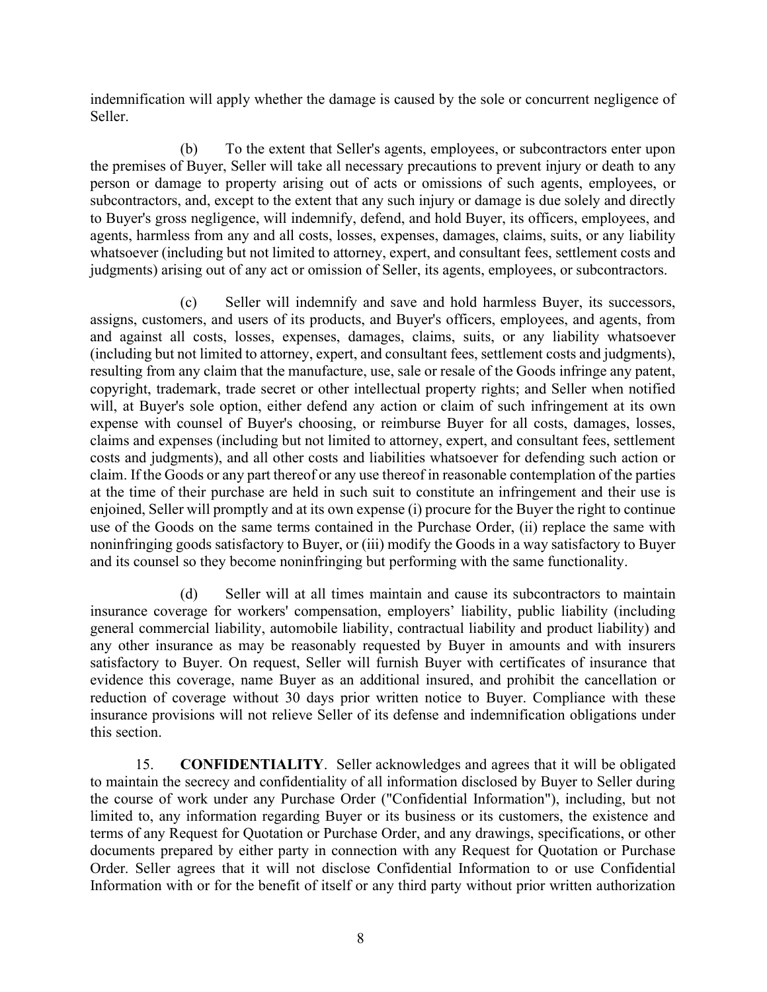indemnification will apply whether the damage is caused by the sole or concurrent negligence of Seller.

(b) To the extent that Seller's agents, employees, or subcontractors enter upon the premises of Buyer, Seller will take all necessary precautions to prevent injury or death to any person or damage to property arising out of acts or omissions of such agents, employees, or subcontractors, and, except to the extent that any such injury or damage is due solely and directly to Buyer's gross negligence, will indemnify, defend, and hold Buyer, its officers, employees, and agents, harmless from any and all costs, losses, expenses, damages, claims, suits, or any liability whatsoever (including but not limited to attorney, expert, and consultant fees, settlement costs and judgments) arising out of any act or omission of Seller, its agents, employees, or subcontractors.

(c) Seller will indemnify and save and hold harmless Buyer, its successors, assigns, customers, and users of its products, and Buyer's officers, employees, and agents, from and against all costs, losses, expenses, damages, claims, suits, or any liability whatsoever (including but not limited to attorney, expert, and consultant fees, settlement costs and judgments), resulting from any claim that the manufacture, use, sale or resale of the Goods infringe any patent, copyright, trademark, trade secret or other intellectual property rights; and Seller when notified will, at Buyer's sole option, either defend any action or claim of such infringement at its own expense with counsel of Buyer's choosing, or reimburse Buyer for all costs, damages, losses, claims and expenses (including but not limited to attorney, expert, and consultant fees, settlement costs and judgments), and all other costs and liabilities whatsoever for defending such action or claim. If the Goods or any part thereof or any use thereof in reasonable contemplation of the parties at the time of their purchase are held in such suit to constitute an infringement and their use is enjoined, Seller will promptly and at its own expense (i) procure for the Buyer the right to continue use of the Goods on the same terms contained in the Purchase Order, (ii) replace the same with noninfringing goods satisfactory to Buyer, or (iii) modify the Goods in a way satisfactory to Buyer and its counsel so they become noninfringing but performing with the same functionality.

(d) Seller will at all times maintain and cause its subcontractors to maintain insurance coverage for workers' compensation, employers' liability, public liability (including general commercial liability, automobile liability, contractual liability and product liability) and any other insurance as may be reasonably requested by Buyer in amounts and with insurers satisfactory to Buyer. On request, Seller will furnish Buyer with certificates of insurance that evidence this coverage, name Buyer as an additional insured, and prohibit the cancellation or reduction of coverage without 30 days prior written notice to Buyer. Compliance with these insurance provisions will not relieve Seller of its defense and indemnification obligations under this section.

15. CONFIDENTIALITY. Seller acknowledges and agrees that it will be obligated to maintain the secrecy and confidentiality of all information disclosed by Buyer to Seller during the course of work under any Purchase Order ("Confidential Information"), including, but not limited to, any information regarding Buyer or its business or its customers, the existence and terms of any Request for Quotation or Purchase Order, and any drawings, specifications, or other documents prepared by either party in connection with any Request for Quotation or Purchase Order. Seller agrees that it will not disclose Confidential Information to or use Confidential Information with or for the benefit of itself or any third party without prior written authorization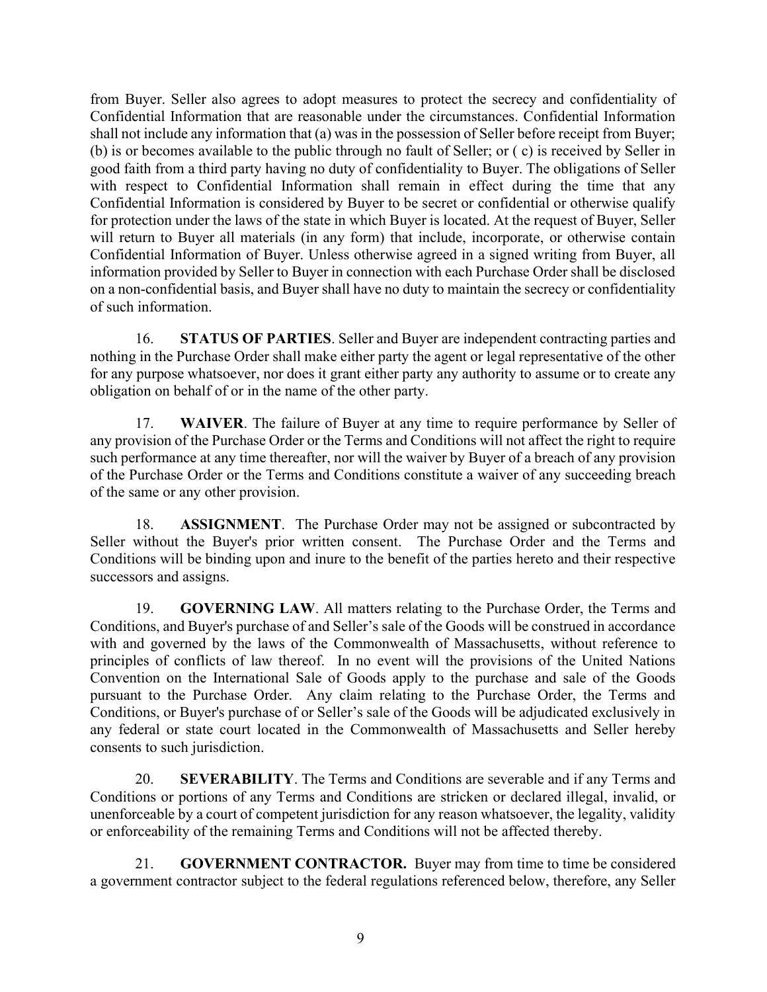from Buyer. Seller also agrees to adopt measures to protect the secrecy and confidentiality of Confidential Information that are reasonable under the circumstances. Confidential Information shall not include any information that (a) was in the possession of Seller before receipt from Buyer; (b) is or becomes available to the public through no fault of Seller; or ( c) is received by Seller in good faith from a third party having no duty of confidentiality to Buyer. The obligations of Seller with respect to Confidential Information shall remain in effect during the time that any Confidential Information is considered by Buyer to be secret or confidential or otherwise qualify for protection under the laws of the state in which Buyer is located. At the request of Buyer, Seller will return to Buyer all materials (in any form) that include, incorporate, or otherwise contain Confidential Information of Buyer. Unless otherwise agreed in a signed writing from Buyer, all information provided by Seller to Buyer in connection with each Purchase Order shall be disclosed on a non-confidential basis, and Buyer shall have no duty to maintain the secrecy or confidentiality of such information.

16. STATUS OF PARTIES. Seller and Buyer are independent contracting parties and nothing in the Purchase Order shall make either party the agent or legal representative of the other for any purpose whatsoever, nor does it grant either party any authority to assume or to create any obligation on behalf of or in the name of the other party.

17. WAIVER. The failure of Buyer at any time to require performance by Seller of any provision of the Purchase Order or the Terms and Conditions will not affect the right to require such performance at any time thereafter, nor will the waiver by Buyer of a breach of any provision of the Purchase Order or the Terms and Conditions constitute a waiver of any succeeding breach of the same or any other provision.

18. ASSIGNMENT. The Purchase Order may not be assigned or subcontracted by Seller without the Buyer's prior written consent. The Purchase Order and the Terms and Conditions will be binding upon and inure to the benefit of the parties hereto and their respective successors and assigns.

19. GOVERNING LAW. All matters relating to the Purchase Order, the Terms and Conditions, and Buyer's purchase of and Seller's sale of the Goods will be construed in accordance with and governed by the laws of the Commonwealth of Massachusetts, without reference to principles of conflicts of law thereof. In no event will the provisions of the United Nations Convention on the International Sale of Goods apply to the purchase and sale of the Goods pursuant to the Purchase Order. Any claim relating to the Purchase Order, the Terms and Conditions, or Buyer's purchase of or Seller's sale of the Goods will be adjudicated exclusively in any federal or state court located in the Commonwealth of Massachusetts and Seller hereby consents to such jurisdiction.

20. SEVERABILITY. The Terms and Conditions are severable and if any Terms and Conditions or portions of any Terms and Conditions are stricken or declared illegal, invalid, or unenforceable by a court of competent jurisdiction for any reason whatsoever, the legality, validity or enforceability of the remaining Terms and Conditions will not be affected thereby.

21. GOVERNMENT CONTRACTOR. Buyer may from time to time be considered a government contractor subject to the federal regulations referenced below, therefore, any Seller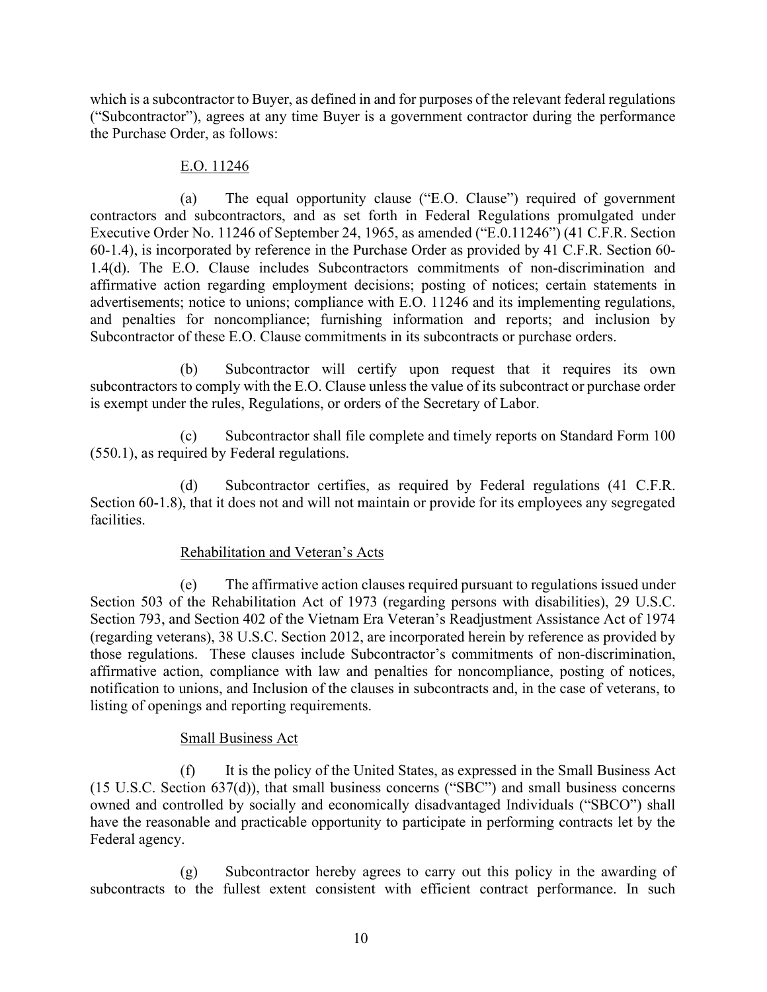which is a subcontractor to Buyer, as defined in and for purposes of the relevant federal regulations ("Subcontractor"), agrees at any time Buyer is a government contractor during the performance the Purchase Order, as follows:

### E.O. 11246

(a) The equal opportunity clause ("E.O. Clause") required of government contractors and subcontractors, and as set forth in Federal Regulations promulgated under Executive Order No. 11246 of September 24, 1965, as amended ("E.0.11246") (41 C.F.R. Section 60-1.4), is incorporated by reference in the Purchase Order as provided by 41 C.F.R. Section 60- 1.4(d). The E.O. Clause includes Subcontractors commitments of non-discrimination and affirmative action regarding employment decisions; posting of notices; certain statements in advertisements; notice to unions; compliance with E.O. 11246 and its implementing regulations, and penalties for noncompliance; furnishing information and reports; and inclusion by Subcontractor of these E.O. Clause commitments in its subcontracts or purchase orders.

(b) Subcontractor will certify upon request that it requires its own subcontractors to comply with the E.O. Clause unless the value of its subcontract or purchase order is exempt under the rules, Regulations, or orders of the Secretary of Labor.

(c) Subcontractor shall file complete and timely reports on Standard Form 100 (550.1), as required by Federal regulations.

(d) Subcontractor certifies, as required by Federal regulations (41 C.F.R. Section 60-1.8), that it does not and will not maintain or provide for its employees any segregated facilities.

## Rehabilitation and Veteran's Acts

(e) The affirmative action clauses required pursuant to regulations issued under Section 503 of the Rehabilitation Act of 1973 (regarding persons with disabilities), 29 U.S.C. Section 793, and Section 402 of the Vietnam Era Veteran's Readjustment Assistance Act of 1974 (regarding veterans), 38 U.S.C. Section 2012, are incorporated herein by reference as provided by those regulations. These clauses include Subcontractor's commitments of non-discrimination, affirmative action, compliance with law and penalties for noncompliance, posting of notices, notification to unions, and Inclusion of the clauses in subcontracts and, in the case of veterans, to listing of openings and reporting requirements.

## Small Business Act

(f) It is the policy of the United States, as expressed in the Small Business Act (15 U.S.C. Section 637(d)), that small business concerns ("SBC") and small business concerns owned and controlled by socially and economically disadvantaged Individuals ("SBCO") shall have the reasonable and practicable opportunity to participate in performing contracts let by the Federal agency.

(g) Subcontractor hereby agrees to carry out this policy in the awarding of subcontracts to the fullest extent consistent with efficient contract performance. In such